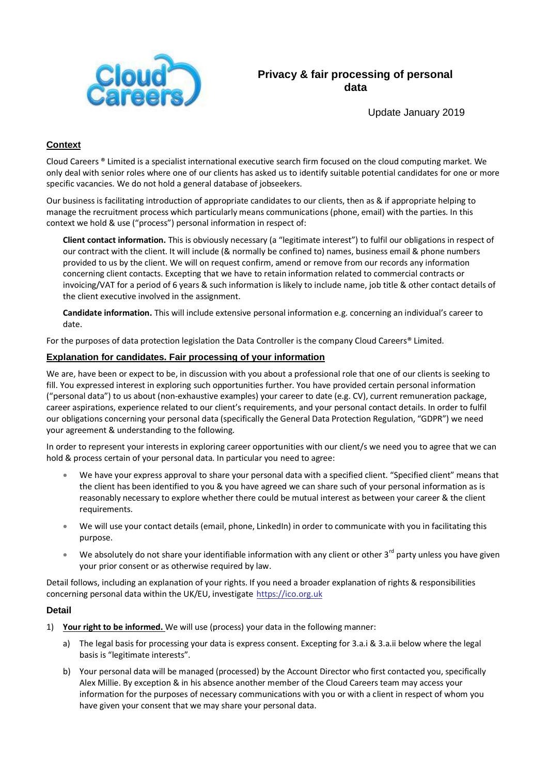

**Privacy & fair processing of personal data**

Update January 2019

## **Context**

Cloud Careers ® Limited is a specialist international executive search firm focused on the cloud computing market. We only deal with senior roles where one of our clients has asked us to identify suitable potential candidates for one or more specific vacancies. We do not hold a general database of jobseekers.

Our business is facilitating introduction of appropriate candidates to our clients, then as & if appropriate helping to manage the recruitment process which particularly means communications (phone, email) with the parties. In this context we hold & use ("process") personal information in respect of:

**Client contact information.** This is obviously necessary (a "legitimate interest") to fulfil our obligations in respect of our contract with the client. It will include (& normally be confined to) names, business email & phone numbers provided to us by the client. We will on request confirm, amend or remove from our records any information concerning client contacts. Excepting that we have to retain information related to commercial contracts or invoicing/VAT for a period of 6 years & such information is likely to include name, job title & other contact details of the client executive involved in the assignment.

**Candidate information.** This will include extensive personal information e.g. concerning an individual's career to date.

For the purposes of data protection legislation the Data Controller is the company Cloud Careers® Limited.

## **Explanation for candidates. Fair processing of your information**

We are, have been or expect to be, in discussion with you about a professional role that one of our clients is seeking to fill. You expressed interest in exploring such opportunities further. You have provided certain personal information ("personal data") to us about (non-exhaustive examples) your career to date (e.g. CV), current remuneration package, career aspirations, experience related to our client's requirements, and your personal contact details. In order to fulfil our obligations concerning your personal data (specifically the General Data Protection Regulation, "GDPR") we need your agreement & understanding to the following.

In order to represent your interests in exploring career opportunities with our client/s we need you to agree that we can hold & process certain of your personal data. In particular you need to agree:

- We have your express approval to share your personal data with a specified client. "Specified client" means that the client has been identified to you & you have agreed we can share such of your personal information as is reasonably necessary to explore whether there could be mutual interest as between your career & the client requirements.
- We will use your contact details (email, phone, LinkedIn) in order to communicate with you in facilitating this purpose.
- We absolutely do not share your identifiable information with any client or other  $3^{rd}$  party unless you have given your prior consent or as otherwise required by law.

Detail follows, including an explanation of your rights. If you need a broader explanation of rights & responsibilities concerning personal data within the UK/EU, investigate [https://ico.org.uk](https://ico.org.uk/)

#### **Detail**

- 1) **Your right to be informed.** We will use (process) your data in the following manner:
	- a) The legal basis for processing your data is express consent. Excepting for 3.a.i & 3.a.ii below where the legal basis is "legitimate interests".
	- b) Your personal data will be managed (processed) by the Account Director who first contacted you, specifically Alex Millie. By exception & in his absence another member of the Cloud Careers team may access your information for the purposes of necessary communications with you or with a client in respect of whom you have given your consent that we may share your personal data.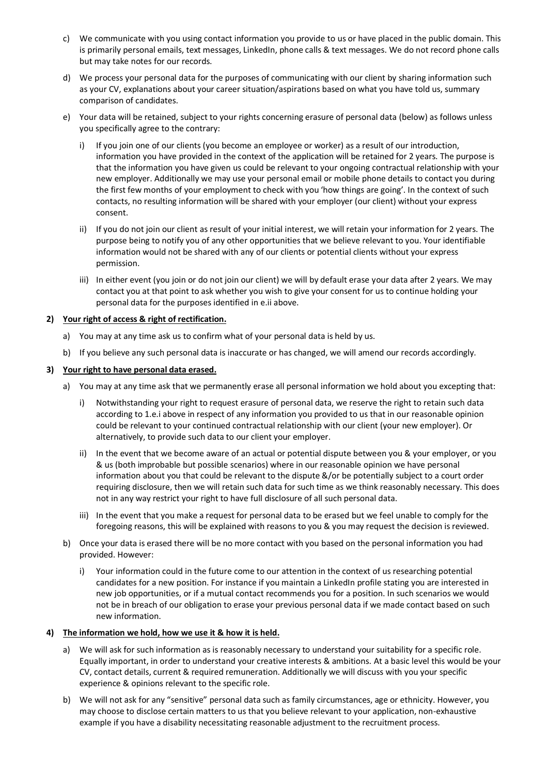- c) We communicate with you using contact information you provide to us or have placed in the public domain. This is primarily personal emails, text messages, LinkedIn, phone calls & text messages. We do not record phone calls but may take notes for our records.
- d) We process your personal data for the purposes of communicating with our client by sharing information such as your CV, explanations about your career situation/aspirations based on what you have told us, summary comparison of candidates.
- e) Your data will be retained, subject to your rights concerning erasure of personal data (below) as follows unless you specifically agree to the contrary:
	- i) If you join one of our clients (you become an employee or worker) as a result of our introduction, information you have provided in the context of the application will be retained for 2 years. The purpose is that the information you have given us could be relevant to your ongoing contractual relationship with your new employer. Additionally we may use your personal email or mobile phone details to contact you during the first few months of your employment to check with you 'how things are going'. In the context of such contacts, no resulting information will be shared with your employer (our client) without your express consent.
	- ii) If you do not join our client as result of your initial interest, we will retain your information for 2 years. The purpose being to notify you of any other opportunities that we believe relevant to you. Your identifiable information would not be shared with any of our clients or potential clients without your express permission.
	- iii) In either event (you join or do not join our client) we will by default erase your data after 2 years. We may contact you at that point to ask whether you wish to give your consent for us to continue holding your personal data for the purposes identified in e.ii above.

## **2) Your right of access & right of rectification.**

- a) You may at any time ask us to confirm what of your personal data is held by us.
- b) If you believe any such personal data is inaccurate or has changed, we will amend our records accordingly.

#### **3) Your right to have personal data erased.**

- a) You may at any time ask that we permanently erase all personal information we hold about you excepting that:
	- i) Notwithstanding your right to request erasure of personal data, we reserve the right to retain such data according to 1.e.i above in respect of any information you provided to us that in our reasonable opinion could be relevant to your continued contractual relationship with our client (your new employer). Or alternatively, to provide such data to our client your employer.
	- ii) In the event that we become aware of an actual or potential dispute between you & your employer, or you & us (both improbable but possible scenarios) where in our reasonable opinion we have personal information about you that could be relevant to the dispute &/or be potentially subject to a court order requiring disclosure, then we will retain such data for such time as we think reasonably necessary. This does not in any way restrict your right to have full disclosure of all such personal data.
	- iii) In the event that you make a request for personal data to be erased but we feel unable to comply for the foregoing reasons, this will be explained with reasons to you & you may request the decision is reviewed.
- b) Once your data is erased there will be no more contact with you based on the personal information you had provided. However:
	- i) Your information could in the future come to our attention in the context of us researching potential candidates for a new position. For instance if you maintain a LinkedIn profile stating you are interested in new job opportunities, or if a mutual contact recommends you for a position. In such scenarios we would not be in breach of our obligation to erase your previous personal data if we made contact based on such new information.

#### **4) The information we hold, how we use it & how it is held.**

- a) We will ask for such information as is reasonably necessary to understand your suitability for a specific role. Equally important, in order to understand your creative interests & ambitions. At a basic level this would be your CV, contact details, current & required remuneration. Additionally we will discuss with you your specific experience & opinions relevant to the specific role.
- b) We will not ask for any "sensitive" personal data such as family circumstances, age or ethnicity. However, you may choose to disclose certain matters to us that you believe relevant to your application, non-exhaustive example if you have a disability necessitating reasonable adjustment to the recruitment process.